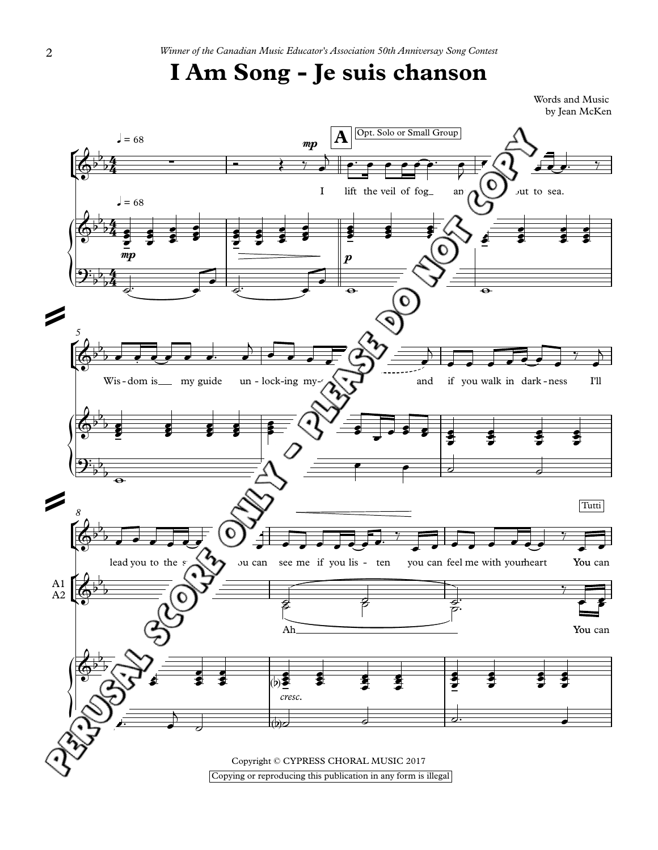## **I Am Song - Je suis chanson**

Words and Music by Jean McKen

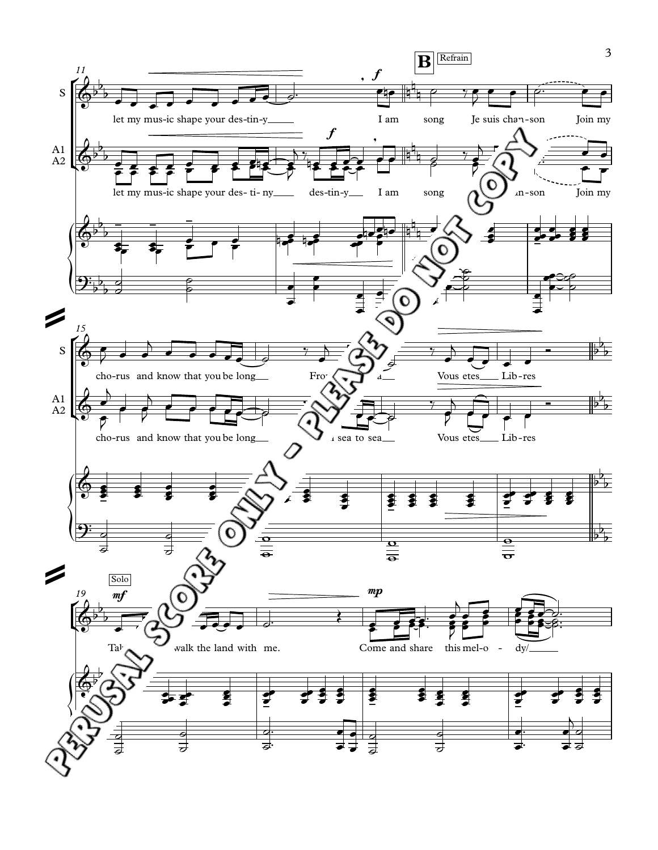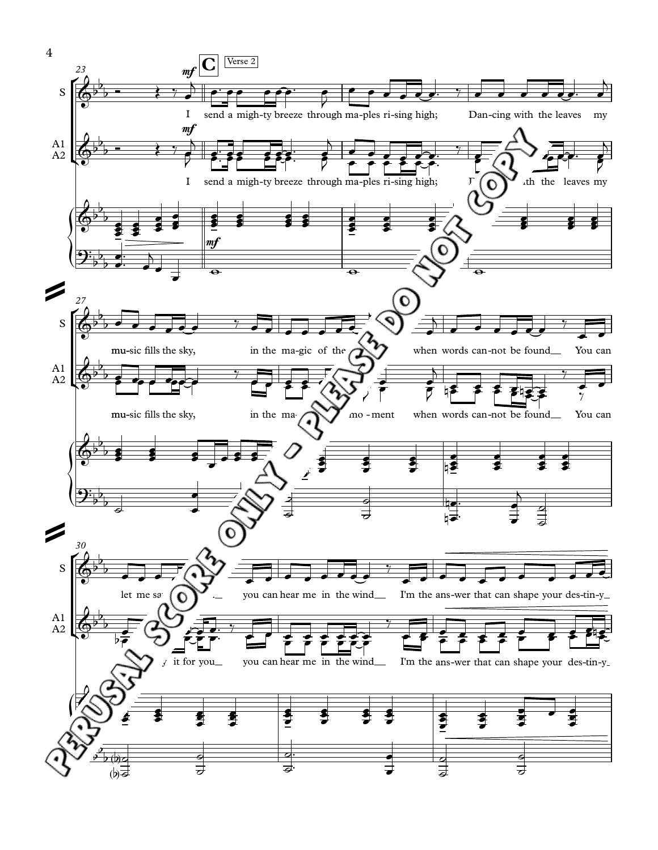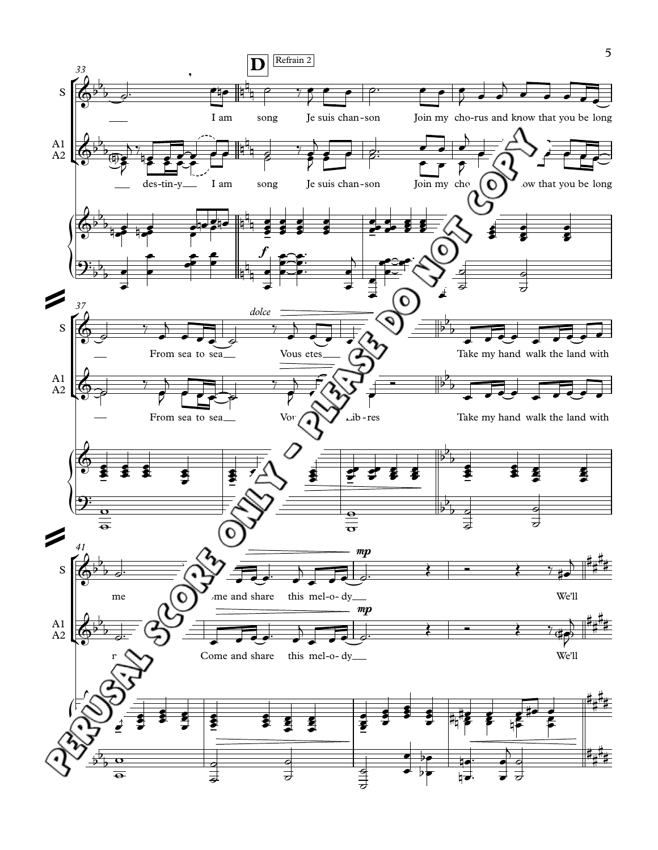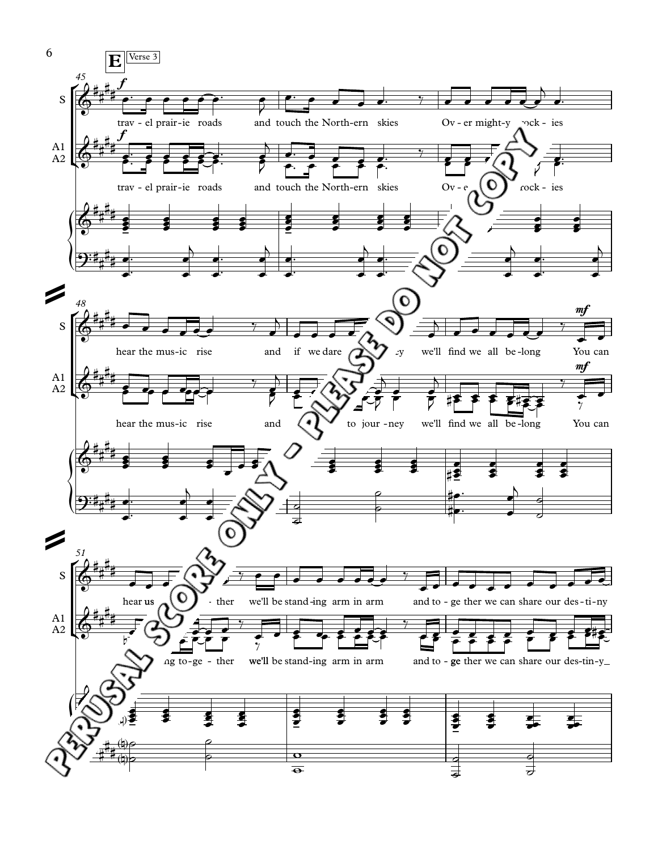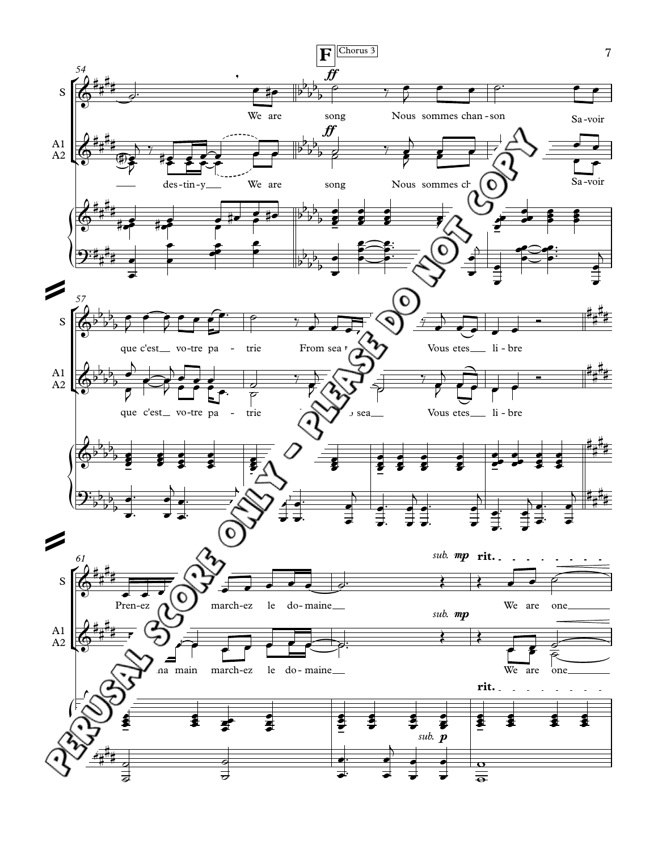